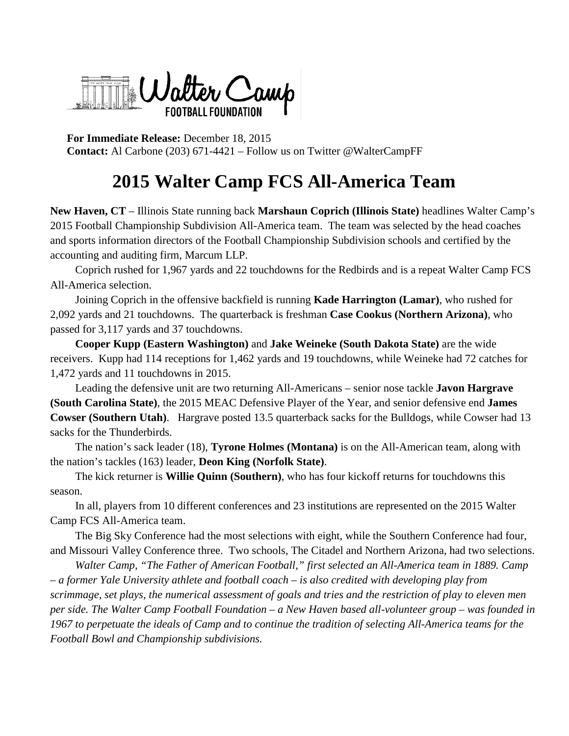Walter Camp FOOTBALL FOUNDATION

**For Immediate Release:** December 18, 2015 **Contact:** Al Carbone (203) 671-4421 – Follow us on Twitter @WalterCampFF

## **2015 Walter Camp FCS All-America Team**

**New Haven, CT** – Illinois State running back **Marshaun Coprich (Illinois State)** headlines Walter Camp's 2015 Football Championship Subdivision All-America team. The team was selected by the head coaches and sports information directors of the Football Championship Subdivision schools and certified by the accounting and auditing firm, Marcum LLP.

Coprich rushed for 1,967 yards and 22 touchdowns for the Redbirds and is a repeat Walter Camp FCS All-America selection.

Joining Coprich in the offensive backfield is running **Kade Harrington (Lamar)**, who rushed for 2,092 yards and 21 touchdowns. The quarterback is freshman **Case Cookus (Northern Arizona)**, who passed for 3,117 yards and 37 touchdowns.

**Cooper Kupp (Eastern Washington)** and **Jake Weineke (South Dakota State)** are the wide receivers. Kupp had 114 receptions for 1,462 yards and 19 touchdowns, while Weineke had 72 catches for 1,472 yards and 11 touchdowns in 2015.

Leading the defensive unit are two returning All-Americans – senior nose tackle **Javon Hargrave (South Carolina State)**, the 2015 MEAC Defensive Player of the Year, and senior defensive end **James Cowser (Southern Utah)**. Hargrave posted 13.5 quarterback sacks for the Bulldogs, while Cowser had 13 sacks for the Thunderbirds.

The nation's sack leader (18), **Tyrone Holmes (Montana)** is on the All-American team, along with the nation's tackles (163) leader, **Deon King (Norfolk State)**.

The kick returner is **Willie Quinn (Southern)**, who has four kickoff returns for touchdowns this season.

In all, players from 10 different conferences and 23 institutions are represented on the 2015 Walter Camp FCS All-America team.

The Big Sky Conference had the most selections with eight, while the Southern Conference had four, and Missouri Valley Conference three. Two schools, The Citadel and Northern Arizona, had two selections.

*Walter Camp, "The Father of American Football," first selected an All-America team in 1889. Camp – a former Yale University athlete and football coach – is also credited with developing play from scrimmage, set plays, the numerical assessment of goals and tries and the restriction of play to eleven men per side. The Walter Camp Football Foundation – a New Haven based all-volunteer group – was founded in 1967 to perpetuate the ideals of Camp and to continue the tradition of selecting All-America teams for the Football Bowl and Championship subdivisions.*